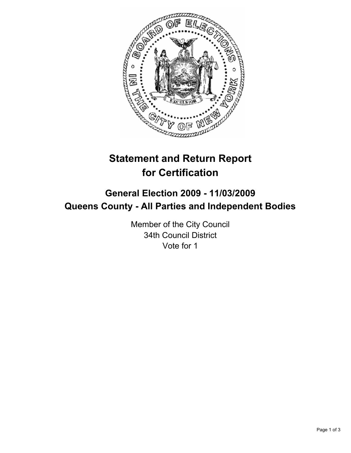

# **Statement and Return Report for Certification**

## **General Election 2009 - 11/03/2009 Queens County - All Parties and Independent Bodies**

Member of the City Council 34th Council District Vote for 1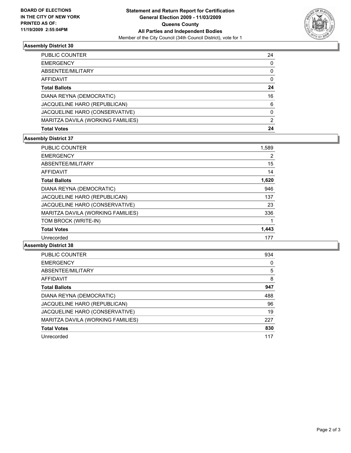

#### **Assembly District 30**

| <b>PUBLIC COUNTER</b>             | 24 |
|-----------------------------------|----|
| <b>EMERGENCY</b>                  | 0  |
| ABSENTEE/MILITARY                 | 0  |
| AFFIDAVIT                         | 0  |
| <b>Total Ballots</b>              | 24 |
| DIANA REYNA (DEMOCRATIC)          | 16 |
| JACQUELINE HARO (REPUBLICAN)      | 6  |
| JACQUELINE HARO (CONSERVATIVE)    | 0  |
| MARITZA DAVILA (WORKING FAMILIES) | 2  |
| <b>Total Votes</b>                | 24 |

### **Assembly District 37**

| <b>PUBLIC COUNTER</b>               | 1,589 |
|-------------------------------------|-------|
| <b>EMERGENCY</b>                    | 2     |
| ABSENTEE/MILITARY                   | 15    |
| <b>AFFIDAVIT</b>                    | 14    |
| <b>Total Ballots</b>                | 1,620 |
| DIANA REYNA (DEMOCRATIC)            | 946   |
| <b>JACQUELINE HARO (REPUBLICAN)</b> | 137   |
| JACQUELINE HARO (CONSERVATIVE)      | 23    |
| MARITZA DAVILA (WORKING FAMILIES)   | 336   |
| TOM BROCK (WRITE-IN)                |       |
| <b>Total Votes</b>                  | 1,443 |
| Unrecorded                          | 177   |

### **Assembly District 38**

| PUBLIC COUNTER                    | 934 |
|-----------------------------------|-----|
| <b>EMERGENCY</b>                  | 0   |
| ABSENTEE/MILITARY                 | 5   |
|                                   |     |
| <b>AFFIDAVIT</b>                  | 8   |
| <b>Total Ballots</b>              | 947 |
| DIANA REYNA (DEMOCRATIC)          | 488 |
| JACQUELINE HARO (REPUBLICAN)      | 96  |
| JACQUELINE HARO (CONSERVATIVE)    | 19  |
| MARITZA DAVILA (WORKING FAMILIES) | 227 |
| <b>Total Votes</b>                | 830 |
| Unrecorded                        | 117 |